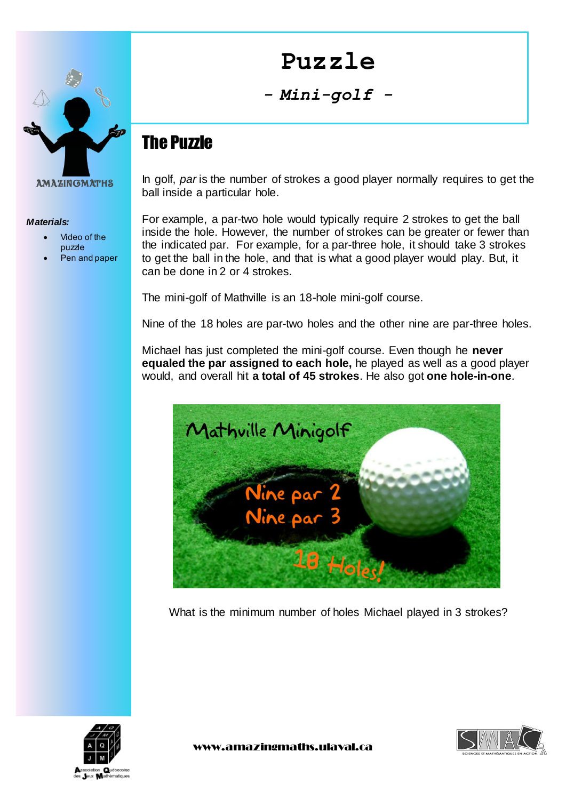

#### *Materials:*

- Video of the puzzle
- Pen and paper

# **Puzzle**

#### *- Mini-golf -*

# The Puzzle

In golf, *par* is the number of strokes a good player normally requires to get the ball inside a particular hole.

For example, a par-two hole would typically require 2 strokes to get the ball inside the hole. However, the number of strokes can be greater or fewer than the indicated par. For example, for a par-three hole, it should take 3 strokes to get the ball in the hole, and that is what a good player would play. But, it can be done in 2 or 4 strokes.

The mini-golf of Mathville is an 18-hole mini-golf course.

Nine of the 18 holes are par-two holes and the other nine are par-three holes.

Michael has just completed the mini-golf course. Even though he **never equaled the par assigned to each hole,** he played as well as a good player would, and overall hit **a total of 45 strokes**. He also got **one hole-in-one**.



What is the minimum number of holes Michael played in 3 strokes?



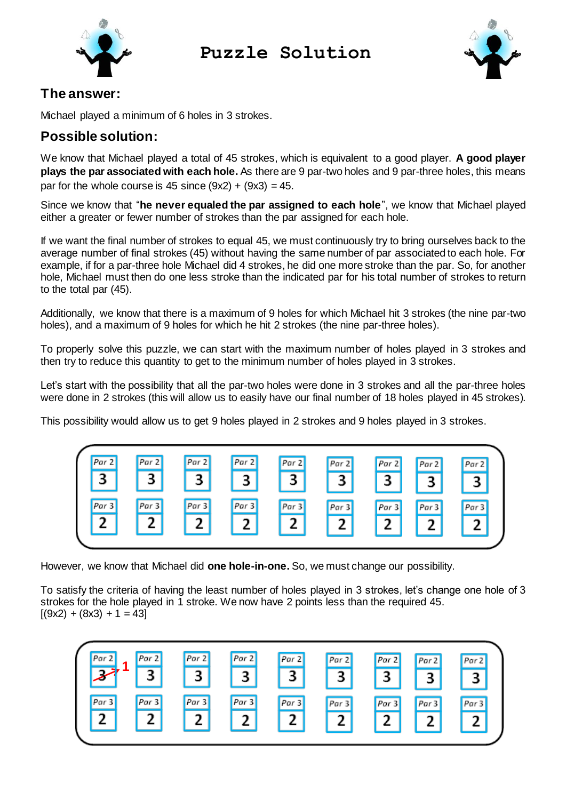

## **Puzzle Solution**



#### **The answer:**

Michael played a minimum of 6 holes in 3 strokes.

#### **Possible solution:**

We know that Michael played a total of 45 strokes, which is equivalent to a good player. **A good player plays the par associated with each hole.** As there are 9 par-two holes and 9 par-three holes, this means par for the whole course is 45 since  $(9x2) + (9x3) = 45$ .

Since we know that "**he never equaled the par assigned to each hole**", we know that Michael played either a greater or fewer number of strokes than the par assigned for each hole.

If we want the final number of strokes to equal 45, we must continuously try to bring ourselves back to the average number of final strokes (45) without having the same number of par associated to each hole. For example, if for a par-three hole Michael did 4 strokes, he did one more stroke than the par. So, for another hole, Michael must then do one less stroke than the indicated par for his total number of strokes to return to the total par (45).

Additionally, we know that there is a maximum of 9 holes for which Michael hit 3 strokes (the nine par-two holes), and a maximum of 9 holes for which he hit 2 strokes (the nine par-three holes).

To properly solve this puzzle, we can start with the maximum number of holes played in 3 strokes and then try to reduce this quantity to get to the minimum number of holes played in 3 strokes.

Let's start with the possibility that all the par-two holes were done in 3 strokes and all the par-three holes were done in 2 strokes (this will allow us to easily have our final number of 18 holes played in 45 strokes).

This possibility would allow us to get 9 holes played in 2 strokes and 9 holes played in 3 strokes.



However, we know that Michael did **one hole-in-one.** So, we must change our possibility.

To satisfy the criteria of having the least number of holes played in 3 strokes, let's change one hole of 3 strokes for the hole played in 1 stroke. We now have 2 points less than the required 45.  $[(9x2) + (8x3) + 1 = 43]$